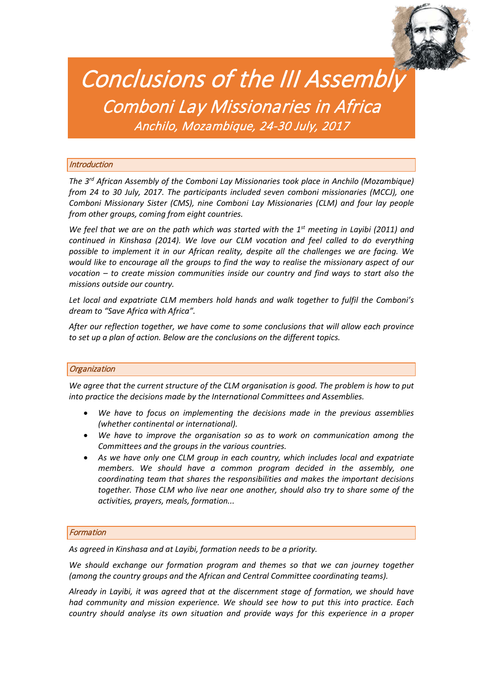

# Conclusions of the III Assembly<br>Comboni Lay Missionaries in Africa<br>Anchilo, Mozambique, 24-30 July, 2017

# **Introduction**

*The 3rd African Assembly of the Comboni Lay Missionaries took place in Anchilo (Mozambique) from 24 to 30 July, 2017. The participants included seven comboni missionaries (MCCJ), one Comboni Missionary Sister (CMS), nine Comboni Lay Missionaries (CLM) and four lay people from other groups, coming from eight countries.*

*We feel that we are on the path which was started with the 1st meeting in Layibi (2011) and continued in Kinshasa (2014). We love our CLM vocation and feel called to do everything possible to implement it in our African reality, despite all the challenges we are facing. We would like to encourage all the groups to find the way to realise the missionary aspect of our vocation – to create mission communities inside our country and find ways to start also the missions outside our country.*

*Let local and expatriate CLM members hold hands and walk together to fulfil the Comboni's dream to "Save Africa with Africa".*

*After our reflection together, we have come to some conclusions that will allow each province to set up a plan of action. Below are the conclusions on the different topics.*

# **Organization**

*We agree that the current structure of the CLM organisation is good. The problem is how to put into practice the decisions made by the International Committees and Assemblies.*

- *We have to focus on implementing the decisions made in the previous assemblies (whether continental or international).*
- *We have to improve the organisation so as to work on communication among the Committees and the groups in the various countries.*
- *As we have only one CLM group in each country, which includes local and expatriate members. We should have a common program decided in the assembly, one coordinating team that shares the responsibilities and makes the important decisions together. Those CLM who live near one another, should also try to share some of the activities, prayers, meals, formation...*

# Formation

*As agreed in Kinshasa and at Layibi, formation needs to be a priority.*

*We should exchange our formation program and themes so that we can journey together (among the country groups and the African and Central Committee coordinating teams).*

*Already in Layibi, it was agreed that at the discernment stage of formation, we should have had community and mission experience. We should see how to put this into practice. Each country should analyse its own situation and provide ways for this experience in a proper*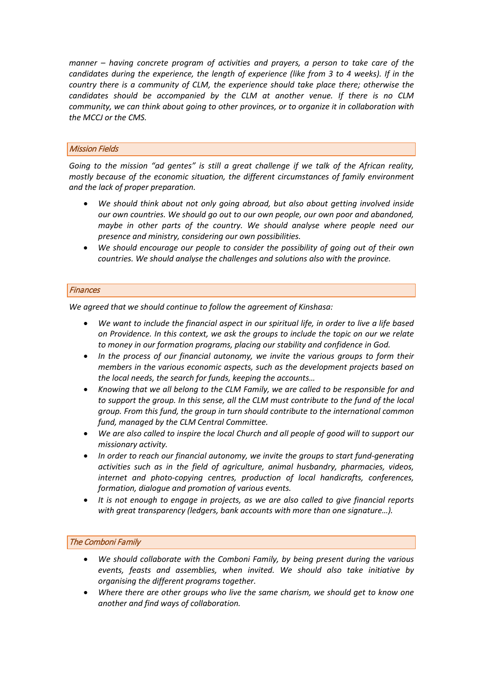*manner – having concrete program of activities and prayers, a person to take care of the candidates during the experience, the length of experience (like from 3 to 4 weeks). If in the country there is a community of CLM, the experience should take place there; otherwise the candidates should be accompanied by the CLM at another venue. If there is no CLM community, we can think about going to other provinces, or to organize it in collaboration with the MCCJ or the CMS.*

# Mission Fields

*Going to the mission "ad gentes" is still a great challenge if we talk of the African reality, mostly because of the economic situation, the different circumstances of family environment and the lack of proper preparation.*

- *We should think about not only going abroad, but also about getting involved inside our own countries. We should go out to our own people, our own poor and abandoned, maybe in other parts of the country. We should analyse where people need our presence and ministry, considering our own possibilities.*
- *We should encourage our people to consider the possibility of going out of their own countries. We should analyse the challenges and solutions also with the province.*

# **Finances**

*We agreed that we should continue to follow the agreement of Kinshasa:*

- *We want to include the financial aspect in our spiritual life, in order to live a life based on Providence. In this context, we ask the groups to include the topic on our we relate to money in our formation programs, placing our stability and confidence in God.*
- *In the process of our financial autonomy, we invite the various groups to form their members in the various economic aspects, such as the development projects based on the local needs, the search for funds, keeping the accounts…*
- *Knowing that we all belong to the CLM Family, we are called to be responsible for and to support the group. In this sense, all the CLM must contribute to the fund of the local group. From this fund, the group in turn should contribute to the international common fund, managed by the CLM Central Committee.*
- *We are also called to inspire the local Church and all people of good will to support our missionary activity.*
- *In order to reach our financial autonomy, we invite the groups to start fund-generating activities such as in the field of agriculture, animal husbandry, pharmacies, videos, internet and photo-copying centres, production of local handicrafts, conferences, formation, dialogue and promotion of various events.*
- *It is not enough to engage in projects, as we are also called to give financial reports with great transparency (ledgers, bank accounts with more than one signature…).*

# The Comboni Family

- *We should collaborate with the Comboni Family, by being present during the various events, feasts and assemblies, when invited. We should also take initiative by organising the different programs together.*
- *Where there are other groups who live the same charism, we should get to know one another and find ways of collaboration.*